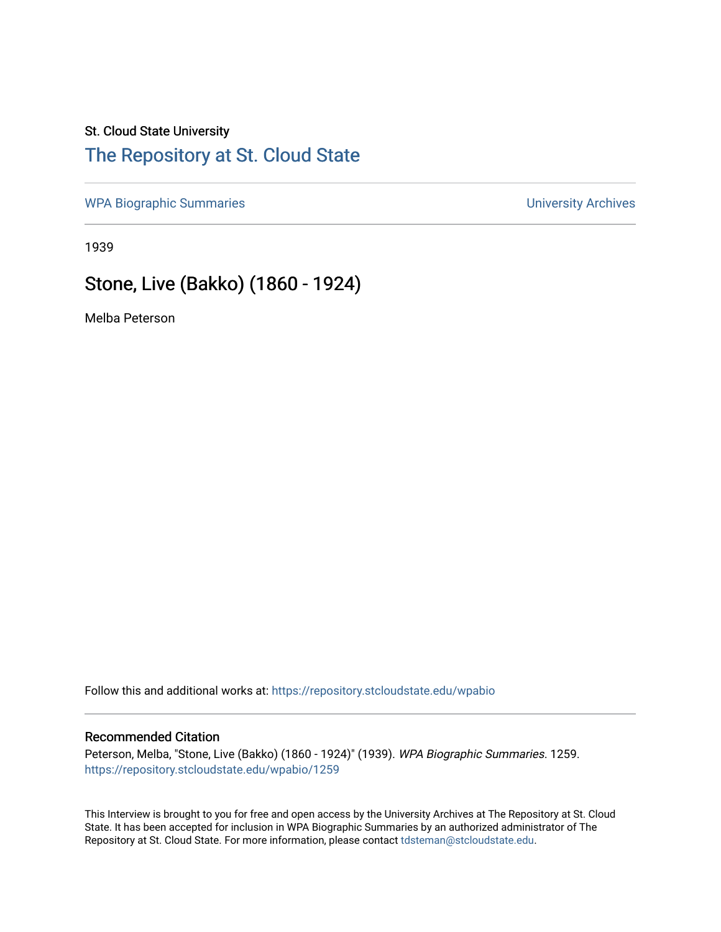### St. Cloud State University

## [The Repository at St. Cloud State](https://repository.stcloudstate.edu/)

[WPA Biographic Summaries](https://repository.stcloudstate.edu/wpabio) **WPA Biographic Summaries University Archives** 

1939

# Stone, Live (Bakko) (1860 - 1924)

Melba Peterson

Follow this and additional works at: [https://repository.stcloudstate.edu/wpabio](https://repository.stcloudstate.edu/wpabio?utm_source=repository.stcloudstate.edu%2Fwpabio%2F1259&utm_medium=PDF&utm_campaign=PDFCoverPages) 

#### Recommended Citation

Peterson, Melba, "Stone, Live (Bakko) (1860 - 1924)" (1939). WPA Biographic Summaries. 1259. [https://repository.stcloudstate.edu/wpabio/1259](https://repository.stcloudstate.edu/wpabio/1259?utm_source=repository.stcloudstate.edu%2Fwpabio%2F1259&utm_medium=PDF&utm_campaign=PDFCoverPages) 

This Interview is brought to you for free and open access by the University Archives at The Repository at St. Cloud State. It has been accepted for inclusion in WPA Biographic Summaries by an authorized administrator of The Repository at St. Cloud State. For more information, please contact [tdsteman@stcloudstate.edu.](mailto:tdsteman@stcloudstate.edu)